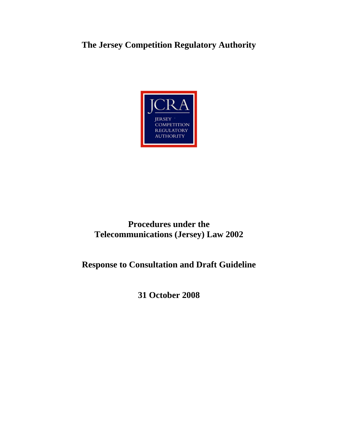# **The Jersey Competition Regulatory Authority**



# **Procedures under the Telecommunications (Jersey) Law 2002**

# **Response to Consultation and Draft Guideline**

**31 October 2008**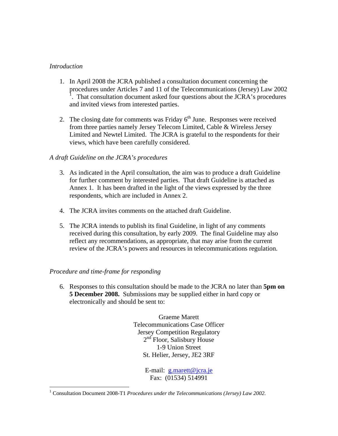# *Introduction*

- 1. In April 2008 the JCRA published a consultation document concerning the procedures under Articles 7 and 11 of the Telecommunications (Jersey) Law 2002 1 . That consultation document asked four questions about the JCRA's procedures and invited views from interested parties.
- 2. The closing date for comments was Friday  $6<sup>th</sup>$  June. Responses were received from three parties namely Jersey Telecom Limited, Cable & Wireless Jersey Limited and Newtel Limited. The JCRA is grateful to the respondents for their views, which have been carefully considered.

# *A draft Guideline on the JCRA's procedures*

- 3. As indicated in the April consultation, the aim was to produce a draft Guideline for further comment by interested parties. That draft Guideline is attached as Annex 1. It has been drafted in the light of the views expressed by the three respondents, which are included in Annex 2.
- 4. The JCRA invites comments on the attached draft Guideline.
- 5. The JCRA intends to publish its final Guideline, in light of any comments received during this consultation, by early 2009. The final Guideline may also reflect any recommendations, as appropriate, that may arise from the current review of the JCRA's powers and resources in telecommunications regulation.

# *Procedure and time-frame for responding*

 $\overline{a}$ 

6. Responses to this consultation should be made to the JCRA no later than **5pm on 5 December 2008.** Submissions may be supplied either in hard copy or electronically and should be sent to:

> Graeme Marett Telecommunications Case Officer Jersey Competition Regulatory 2<sup>nd</sup> Floor, Salisbury House 1-9 Union Street St. Helier, Jersey, JE2 3RF

> > E-mail: g.marett@jcra.je Fax: (01534) 514991

<sup>&</sup>lt;sup>1</sup> Consultation Document 2008-T1 *Procedures under the Telecommunications (Jersey) Law 2002*.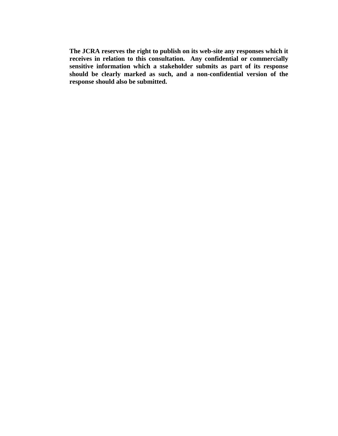**The JCRA reserves the right to publish on its web-site any responses which it receives in relation to this consultation. Any confidential or commercially sensitive information which a stakeholder submits as part of its response should be clearly marked as such, and a non-confidential version of the response should also be submitted.**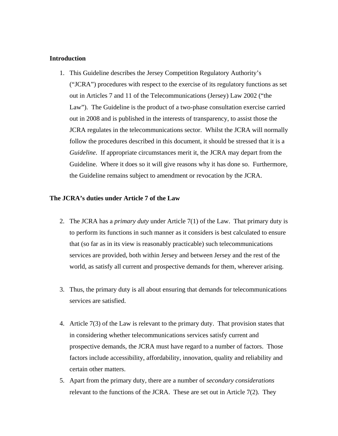#### **Introduction**

1. This Guideline describes the Jersey Competition Regulatory Authority's ("JCRA") procedures with respect to the exercise of its regulatory functions as set out in Articles 7 and 11 of the Telecommunications (Jersey) Law 2002 ("the Law"). The Guideline is the product of a two-phase consultation exercise carried out in 2008 and is published in the interests of transparency, to assist those the JCRA regulates in the telecommunications sector. Whilst the JCRA will normally follow the procedures described in this document, it should be stressed that it is a *Guideline*. If appropriate circumstances merit it, the JCRA may depart from the Guideline. Where it does so it will give reasons why it has done so. Furthermore, the Guideline remains subject to amendment or revocation by the JCRA.

#### **The JCRA's duties under Article 7 of the Law**

- 2. The JCRA has a *primary duty* under Article 7(1) of the Law. That primary duty is to perform its functions in such manner as it considers is best calculated to ensure that (so far as in its view is reasonably practicable) such telecommunications services are provided, both within Jersey and between Jersey and the rest of the world, as satisfy all current and prospective demands for them, wherever arising.
- 3. Thus, the primary duty is all about ensuring that demands for telecommunications services are satisfied.
- 4. Article 7(3) of the Law is relevant to the primary duty. That provision states that in considering whether telecommunications services satisfy current and prospective demands, the JCRA must have regard to a number of factors. Those factors include accessibility, affordability, innovation, quality and reliability and certain other matters.
- 5. Apart from the primary duty, there are a number of *secondary considerations* relevant to the functions of the JCRA. These are set out in Article  $7(2)$ . They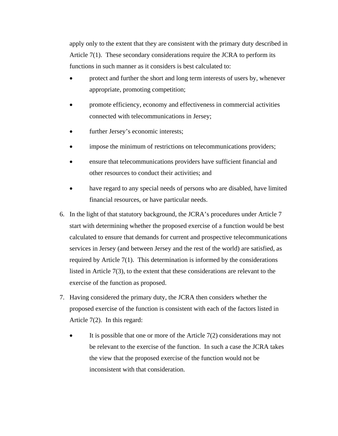apply only to the extent that they are consistent with the primary duty described in Article 7(1). These secondary considerations require the JCRA to perform its functions in such manner as it considers is best calculated to:

- protect and further the short and long term interests of users by, whenever appropriate, promoting competition;
- promote efficiency, economy and effectiveness in commercial activities connected with telecommunications in Jersey;
- further Jersey's economic interests;
- impose the minimum of restrictions on telecommunications providers;
- ensure that telecommunications providers have sufficient financial and other resources to conduct their activities; and
- have regard to any special needs of persons who are disabled, have limited financial resources, or have particular needs.
- 6. In the light of that statutory background, the JCRA's procedures under Article 7 start with determining whether the proposed exercise of a function would be best calculated to ensure that demands for current and prospective telecommunications services in Jersey (and between Jersey and the rest of the world) are satisfied, as required by Article 7(1). This determination is informed by the considerations listed in Article 7(3), to the extent that these considerations are relevant to the exercise of the function as proposed.
- 7. Having considered the primary duty, the JCRA then considers whether the proposed exercise of the function is consistent with each of the factors listed in Article 7(2). In this regard:
	- It is possible that one or more of the Article  $7(2)$  considerations may not be relevant to the exercise of the function. In such a case the JCRA takes the view that the proposed exercise of the function would not be inconsistent with that consideration.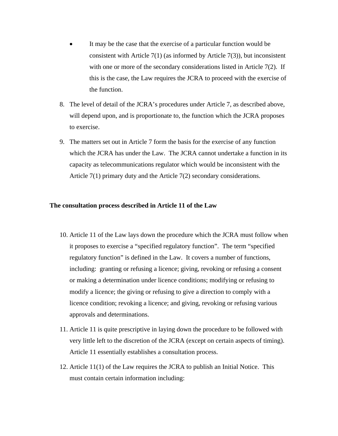- It may be the case that the exercise of a particular function would be consistent with Article  $7(1)$  (as informed by Article  $7(3)$ ), but inconsistent with one or more of the secondary considerations listed in Article 7(2). If this is the case, the Law requires the JCRA to proceed with the exercise of the function.
- 8. The level of detail of the JCRA's procedures under Article 7, as described above, will depend upon, and is proportionate to, the function which the JCRA proposes to exercise.
- 9. The matters set out in Article 7 form the basis for the exercise of any function which the JCRA has under the Law. The JCRA cannot undertake a function in its capacity as telecommunications regulator which would be inconsistent with the Article 7(1) primary duty and the Article 7(2) secondary considerations.

## **The consultation process described in Article 11 of the Law**

- 10. Article 11 of the Law lays down the procedure which the JCRA must follow when it proposes to exercise a "specified regulatory function". The term "specified regulatory function" is defined in the Law. It covers a number of functions, including: granting or refusing a licence; giving, revoking or refusing a consent or making a determination under licence conditions; modifying or refusing to modify a licence; the giving or refusing to give a direction to comply with a licence condition; revoking a licence; and giving, revoking or refusing various approvals and determinations.
- 11. Article 11 is quite prescriptive in laying down the procedure to be followed with very little left to the discretion of the JCRA (except on certain aspects of timing). Article 11 essentially establishes a consultation process.
- 12. Article 11(1) of the Law requires the JCRA to publish an Initial Notice. This must contain certain information including: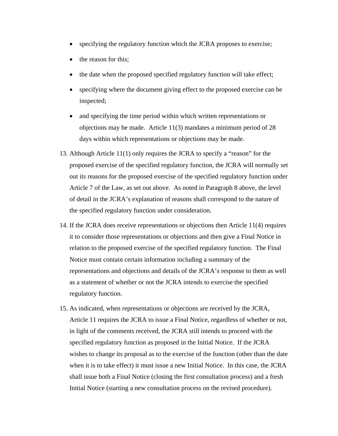- specifying the regulatory function which the JCRA proposes to exercise;
- the reason for this;
- the date when the proposed specified regulatory function will take effect;
- specifying where the document giving effect to the proposed exercise can be inspected;
- and specifying the time period within which written representations or objections may be made. Article 11(3) mandates a minimum period of 28 days within which representations or objections may be made.
- 13. Although Article 11(1) only requires the JCRA to specify a "reason" for the proposed exercise of the specified regulatory function, the JCRA will normally set out its reasons for the proposed exercise of the specified regulatory function under Article 7 of the Law, as set out above. As noted in Paragraph 8 above, the level of detail in the JCRA's explanation of reasons shall correspond to the nature of the specified regulatory function under consideration.
- 14. If the JCRA does receive representations or objections then Article 11(4) requires it to consider those representations or objections and then give a Final Notice in relation to the proposed exercise of the specified regulatory function. The Final Notice must contain certain information including a summary of the representations and objections and details of the JCRA's response to them as well as a statement of whether or not the JCRA intends to exercise the specified regulatory function.
- 15. As indicated, when representations or objections are received by the JCRA, Article 11 requires the JCRA to issue a Final Notice, regardless of whether or not, in light of the comments received, the JCRA still intends to proceed with the specified regulatory function as proposed in the Initial Notice. If the JCRA wishes to change its proposal as to the exercise of the function (other than the date when it is to take effect) it must issue a new Initial Notice. In this case, the JCRA shall issue both a Final Notice (closing the first consultation process) and a fresh Initial Notice (starting a new consultation process on the revised procedure).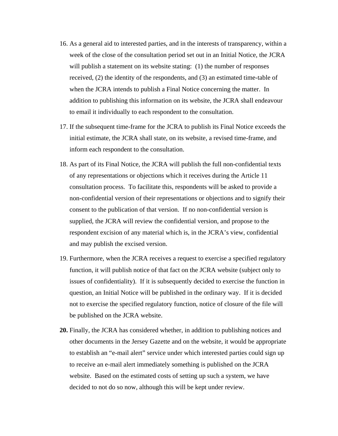- 16. As a general aid to interested parties, and in the interests of transparency, within a week of the close of the consultation period set out in an Initial Notice, the JCRA will publish a statement on its website stating: (1) the number of responses received, (2) the identity of the respondents, and (3) an estimated time-table of when the JCRA intends to publish a Final Notice concerning the matter. In addition to publishing this information on its website, the JCRA shall endeavour to email it individually to each respondent to the consultation.
- 17. If the subsequent time-frame for the JCRA to publish its Final Notice exceeds the initial estimate, the JCRA shall state, on its website, a revised time-frame, and inform each respondent to the consultation.
- 18. As part of its Final Notice, the JCRA will publish the full non-confidential texts of any representations or objections which it receives during the Article 11 consultation process. To facilitate this, respondents will be asked to provide a non-confidential version of their representations or objections and to signify their consent to the publication of that version. If no non-confidential version is supplied, the JCRA will review the confidential version, and propose to the respondent excision of any material which is, in the JCRA's view, confidential and may publish the excised version.
- 19. Furthermore, when the JCRA receives a request to exercise a specified regulatory function, it will publish notice of that fact on the JCRA website (subject only to issues of confidentiality). If it is subsequently decided to exercise the function in question, an Initial Notice will be published in the ordinary way. If it is decided not to exercise the specified regulatory function, notice of closure of the file will be published on the JCRA website.
- **20.** Finally, the JCRA has considered whether, in addition to publishing notices and other documents in the Jersey Gazette and on the website, it would be appropriate to establish an "e-mail alert" service under which interested parties could sign up to receive an e-mail alert immediately something is published on the JCRA website. Based on the estimated costs of setting up such a system, we have decided to not do so now, although this will be kept under review.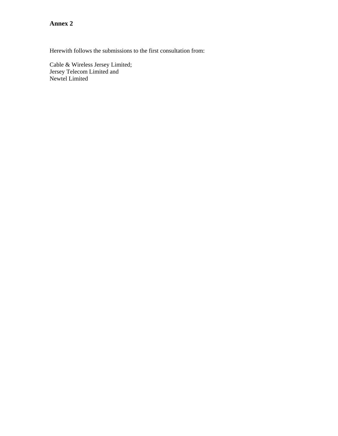**Annex 2** 

Herewith follows the submissions to the first consultation from:

Cable & Wireless Jersey Limited; Jersey Telecom Limited and Newtel Limited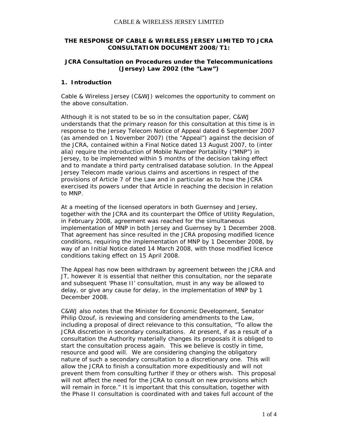## **THE RESPONSE OF CABLE & WIRELESS JERSEY LIMITED TO JCRA CONSULTATION DOCUMENT 2008/T1:**

## **JCRA Consultation on Procedures under the Telecommunications (Jersey) Law 2002 (the "Law")**

### **1. Introduction**

Cable & Wireless Jersey (C&WJ) welcomes the opportunity to comment on the above consultation.

Although it is not stated to be so in the consultation paper, C&WJ understands that the primary reason for this consultation at this time is in response to the Jersey Telecom Notice of Appeal dated 6 September 2007 (as amended on 1 November 2007) (the "Appeal") against the decision of the JCRA, contained within a Final Notice dated 13 August 2007, to (inter alia) require the introduction of Mobile Number Portability ("MNP") in Jersey, to be implemented within 5 months of the decision taking effect and to mandate a third party centralised database solution. In the Appeal Jersey Telecom made various claims and ascertions in respect of the provisions of Article 7 of the Law and in particular as to how the JCRA exercised its powers under that Article in reaching the decision in relation to MNP.

At a meeting of the licensed operators in both Guernsey and Jersey, together with the JCRA and its counterpart the Office of Utility Regulation, in February 2008, agreement was reached for the simultaneous implementation of MNP in both Jersey and Guernsey by 1 December 2008. That agreement has since resulted in the JCRA proposing modified licence conditions, requiring the implementation of MNP by 1 December 2008, by way of an Initial Notice dated 14 March 2008, with those modified licence conditions taking effect on 15 April 2008.

The Appeal has now been withdrawn by agreement between the JCRA and JT, however it is essential that neither this consultation, nor the separate and subsequent 'Phase II' consultation, must in any way be allowed to delay, or give any cause for delay, in the implementation of MNP by 1 December 2008.

C&WJ also notes that the Minister for Economic Development, Senator Philip Ozouf, is reviewing and considering amendments to the Law, including a proposal of direct relevance to this consultation, "*To allow the JCRA discretion in secondary consultations. At present, if as a result of a consultation the Authority materially changes its proposals it is obliged to start the consultation process again. This we believe is costly in time, resource and good will. We are considering changing the obligatory nature of such a secondary consultation to a discretionary one. This will allow the JCRA to finish a consultation more expeditiously and will not prevent them from consulting further if they or others wish. This proposal will not affect the need for the JCRA to consult on new provisions which will remain in force.*" It is important that this consultation, together with the Phase II consultation is coordinated with and takes full account of the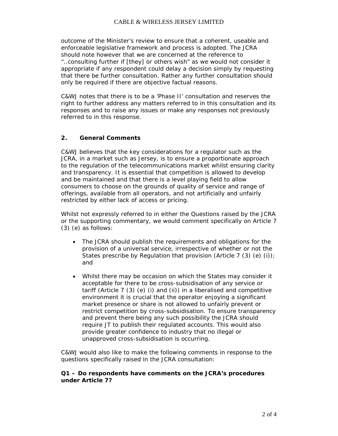outcome of the Minister's review to ensure that a coherent, useable and enforceable legislative framework and process is adopted. The JCRA should note however that we are concerned at the reference to "..*consulting further if [they] or others wish*" as we would not consider it appropriate if any respondent could delay a decision simply by requesting that there be further consultation. Rather any further consultation should only be required if there are objective factual reasons.

C&WJ notes that there is to be a 'Phase II' consultation and reserves the right to further address any matters referred to in this consultation and its responses and to raise any issues or make any responses not previously referred to in this response.

# **2. General Comments**

C&WJ believes that the key considerations for a regulator such as the JCRA, in a market such as Jersey, is to ensure a proportionate approach to the regulation of the telecommunications market whilst ensuring clarity and transparency. It is essential that competition is allowed to develop and be maintained and that there is a level playing field to allow consumers to choose on the grounds of quality of service and range of offerings, available from all operators, and not artificially and unfairly restricted by either lack of access or pricing.

Whilst not expressly referred to in either the Questions raised by the JCRA or the supporting commentary, we would comment specifically on Article 7 (3) (e) as follows:

- The JCRA should publish the requirements and obligations for the provision of a universal service, irrespective of whether or not the States prescribe by Regulation that provision (Article 7 (3) (e) (i)); and
- Whilst there may be occasion on which the States may consider it acceptable for there to be cross-subsidisation of any service or tariff (Article 7 (3) (e) (i) and (ii)) in a liberalised and competitive environment it is crucial that the operator enjoying a significant market presence or share is not allowed to unfairly prevent or restrict competition by cross-subsidisation. To ensure transparency and prevent there being any such possibility the JCRA should require JT to publish their regulated accounts. This would also provide greater confidence to industry that no illegal or unapproved cross-subsidisation is occurring.

C&WJ would also like to make the following comments in response to the questions specifically raised in the JCRA consultation:

## *Q1 – Do respondents have comments on the JCRA's procedures under Article 7?*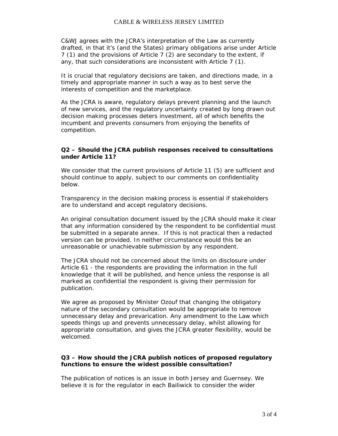C&WJ agrees with the JCRA's interpretation of the Law as currently drafted, in that it's (and the States) primary obligations arise under Article 7 (1) and the provisions of Article 7 (2) are secondary to the extent, if any, that such considerations are inconsistent with Article 7 (1).

It is crucial that regulatory decisions are taken, and directions made, in a timely and appropriate manner in such a way as to best serve the interests of competition and the marketplace.

As the JCRA is aware, regulatory delays prevent planning and the launch of new services, and the regulatory uncertainty created by long drawn out decision making processes deters investment, all of which benefits the incumbent and prevents consumers from enjoying the benefits of competition.

#### *Q2 – Should the JCRA publish responses received to consultations under Article 11?*

We consider that the current provisions of Article 11 (5) are sufficient and should continue to apply, subject to our comments on confidentiality below.

Transparency in the decision making process is essential if stakeholders are to understand and accept regulatory decisions.

An original consultation document issued by the JCRA should make it clear that any information considered by the respondent to be confidential must be submitted in a separate annex. If this is not practical then a redacted version can be provided. In neither circumstance would this be an unreasonable or unachievable submission by any respondent.

The JCRA should not be concerned about the limits on disclosure under Article 61 - the respondents are providing the information in the full knowledge that it will be published, and hence unless the response is all marked as confidential the respondent is giving their permission for publication.

We agree as proposed by Minister Ozouf that changing the obligatory nature of the secondary consultation would be appropriate to remove unnecessary delay and prevarication. Any amendment to the Law which speeds things up and prevents unnecessary delay, whilst allowing for appropriate consultation, and gives the JCRA greater flexibility, would be welcomed.

## *Q3 – How should the JCRA publish notices of proposed regulatory functions to ensure the widest possible consultation?*

The publication of notices is an issue in both Jersey and Guernsey. We believe it is for the regulator in each Bailiwick to consider the wider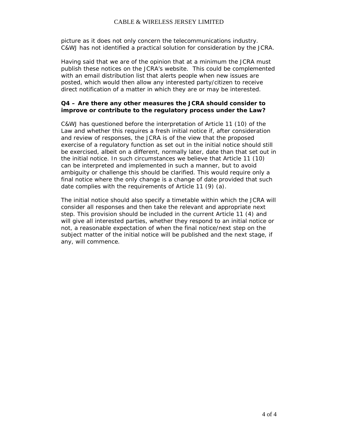### CABLE & WIRELESS JERSEY LIMITED

picture as it does not only concern the telecommunications industry. C&WJ has not identified a practical solution for consideration by the JCRA.

Having said that we are of the opinion that at a minimum the JCRA must publish these notices on the JCRA's website. This could be complemented with an email distribution list that alerts people when new issues are posted, which would then allow any interested party/citizen to receive direct notification of a matter in which they are or may be interested.

# *Q4 – Are there any other measures the JCRA should consider to improve or contribute to the regulatory process under the Law?*

C&WJ has questioned before the interpretation of Article 11 (10) of the Law and whether this requires a fresh initial notice if, after consideration and review of responses, the JCRA is of the view that the proposed exercise of a regulatory function as set out in the initial notice should still be exercised, albeit on a different, normally later, date than that set out in the initial notice. In such circumstances we believe that Article 11 (10) can be interpreted and implemented in such a manner, but to avoid ambiguity or challenge this should be clarified. This would require only a final notice where the only change is a change of date provided that such date complies with the requirements of Article 11 (9) (a).

The initial notice should also specify a timetable within which the JCRA will consider all responses and then take the relevant and appropriate next step. This provision should be included in the current Article 11 (4) and will give all interested parties, whether they respond to an initial notice or not, a reasonable expectation of when the final notice/next step on the subject matter of the initial notice will be published and the next stage, if any, will commence.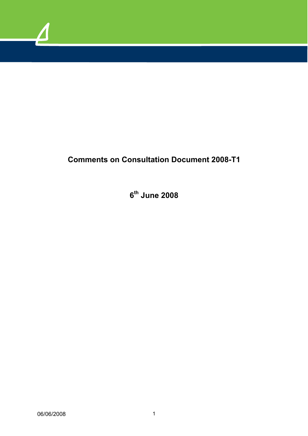

# **Comments on Consultation Document 2008-T1**

**6th June 2008**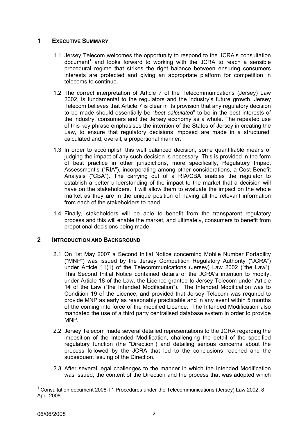# **1 EXECUTIVE SUMMARY**

- 1.1 Jersey Telecom welcomes the opportunity to respond to the JCRA's consultation document<sup>[1](#page-14-0)</sup> and looks forward to working with the JCRA to reach a sensible procedural regime that strikes the right balance between ensuring consumers interests are protected and giving an appropriate platform for competition in telecoms to continue.
- 1.2 The correct interpretation of Article 7 of the Telecommunications (Jersey) Law 2002, is fundamental to the regulators and the industry's future growth. Jersey Telecom believes that Article 7 is clear in its provision that any regulatory decision to be made should essentially be "*best calculated*" to be in the best interests of the industry, consumers and the Jersey economy as a whole. The repeated use of this key phrase emphasises the intention of the States of Jersey in creating the Law, to ensure that regulatory decisions imposed are made in a structured, calculated and, overall, a proportional manner.
- 1.3 In order to accomplish this well balanced decision, some quantifiable means of judging the impact of any such decision is necessary. This is provided in the form of best practice in other jurisdictions, more specifically, Regulatory Impact Assessment's ("RIA"), incorporating among other considerations, a Cost Benefit Analysis ("CBA"). The carrying out of a RIA/CBA enables the regulator to establish a better understanding of the impact to the market that a decision will have on the stakeholders. It will allow them to evaluate the impact on the whole market as they are in the unique position of having all the relevant information from each of the stakeholders to hand.
- 1.4 Finally, stakeholders will be able to benefit from the transparent regulatory process and this will enable the market, and ultimately, consumers to benefit from propotional decisions being made.

# **2 INTRODUCTION AND BACKGROUND**

- 2.1 On 1st May 2007 a Second Initial Notice concerning Mobile Number Portability ("MNP") was issued by the Jersey Competition Regulatory Authority ("JCRA") under Article 11(1) of the Telecommunications (Jersey) Law 2002 ("the Law"). This Second Initial Notice contained details of the JCRA's intention to modify, under Article 18 of the Law, the Licence granted to Jersey Telecom under Article 14 of the Law ("the Intended Modification"). The Intended Modification was to Condition 19 of the Licence, and provided that Jersey Telecom was required to provide MNP as early as reasonably practicable and in any event within 5 months of the coming into force of the modified Licence. The Intended Modification also mandated the use of a third party centralised database system in order to provide MNP.
- 2.2 Jersey Telecom made several detailed representations to the JCRA regarding the imposition of the Intended Modification, challenging the detail of the specified regulatory function (the "Direction") and detailing serious concerns about the process followed by the JCRA that led to the conclusions reached and the subsequent issuing of the Direction.
- 2.3 After several legal challenges to the manner in which the Intended Modification was issued, the content of the Direction and the process that was adopted which

<span id="page-14-0"></span> <sup>1</sup> Consultation document 2008-T1 Procedures under the Telecommunications (Jersey) Law 2002, 8 April 2008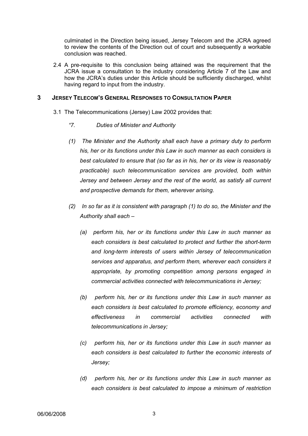culminated in the Direction being issued, Jersey Telecom and the JCRA agreed to review the contents of the Direction out of court and subsequently a workable conclusion was reached.

2.4 A pre-requisite to this conclusion being attained was the requirement that the JCRA issue a consultation to the industry considering Article 7 of the Law and how the JCRA's duties under this Article should be sufficiently discharged, whilst having regard to input from the industry.

# **3 JERSEY TELECOM'S GENERAL RESPONSES TO CONSULTATION PAPER**

- 3.1 The Telecommunications (Jersey) Law 2002 provides that:
	- *"7. Duties of Minister and Authority*
	- *(1) The Minister and the Authority shall each have a primary duty to perform his, her or its functions under this Law in such manner as each considers is best calculated to ensure that (so far as in his, her or its view is reasonably practicable) such telecommunication services are provided, both within Jersey and between Jersey and the rest of the world, as satisfy all current and prospective demands for them, wherever arising.*
	- *(2) In so far as it is consistent with paragraph (1) to do so, the Minister and the Authority shall each –* 
		- *(a) perform his, her or its functions under this Law in such manner as each considers is best calculated to protect and further the short-term and long-term interests of users within Jersey of telecommunication services and apparatus, and perform them, wherever each considers it appropriate, by promoting competition among persons engaged in commercial activities connected with telecommunications in Jersey;*
		- *(b) perform his, her or its functions under this Law in such manner as each considers is best calculated to promote efficiency, economy and effectiveness in commercial activities connected with telecommunications in Jersey;*
		- *(c) perform his, her or its functions under this Law in such manner as each considers is best calculated to further the economic interests of Jersey;*
		- *(d) perform his, her or its functions under this Law in such manner as each considers is best calculated to impose a minimum of restriction*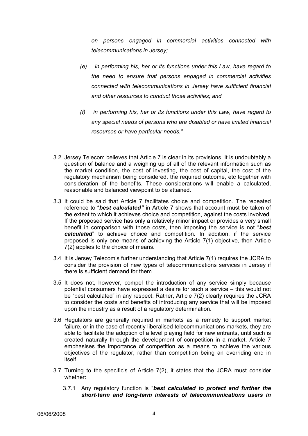*on persons engaged in commercial activities connected with telecommunications in Jersey;* 

- *(e) in performing his, her or its functions under this Law, have regard to the need to ensure that persons engaged in commercial activities connected with telecommunications in Jersey have sufficient financial and other resources to conduct those activities; and*
- *(f) in performing his, her or its functions under this Law, have regard to any special needs of persons who are disabled or have limited financial resources or have particular needs."*
- 3.2 Jersey Telecom believes that Article 7 is clear in its provisions. It is undoubtably a question of balance and a weighing up of all of the relevant information such as the market condition, the cost of investing, the cost of capital, the cost of the regulatory mechanism being considered, the required outcome, etc together with consideration of the benefits. These considerations will enable a calculated, reasonable and balanced viewpoint to be attained.
- 3.3 It could be said that Article 7 facilitates choice and competition. The repeated reference to "*best calculated"* in Article 7 shows that account must be taken of the extent to which it achieves choice and competition, against the costs involved. If the proposed service has only a relatively minor impact or provides a very small benefit in comparison with those costs, then imposing the service is not "*best calculated*" to achieve choice and competition. In addition, if the service proposed is only one means of achieving the Article 7(1) objective, then Article 7(2) applies to the choice of means.
- 3.4 It is Jersey Telecom's further understanding that Article 7(1) requires the JCRA to consider the provision of new types of telecommunications services in Jersey if there is sufficient demand for them.
- 3.5 It does not, however, compel the introduction of any service simply because potential consumers have expressed a desire for such a service – this would not be "best calculated" in any respect. Rather, Article 7(2) clearly requires the JCRA to consider the costs and benefits of introducing any service that will be imposed upon the industry as a result of a regulatory determination.
- 3.6 Regulators are generally required in markets as a remedy to support market failure, or in the case of recently liberalised telecommunications markets, they are able to facilitate the adoption of a level playing field for new entrants, until such is created naturally through the development of competition in a market. Article 7 emphasises the importance of competition as a means to achieve the various objectives of the regulator, rather than competition being an overriding end in itself.
- 3.7 Turning to the specific's of Article 7(2), it states that the JCRA must consider whether:
	- 3.7.1 Any regulatory function is "*best calculated to protect and further the short-term and long-term interests of telecommunications users in*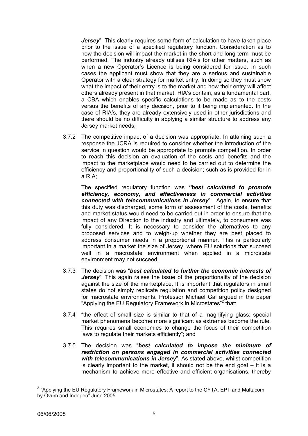*Jersey*". This clearly requires some form of calculation to have taken place prior to the issue of a specified regulatory function. Consideration as to how the decision will impact the market in the short and long-term must be performed. The industry already utilises RIA's for other matters, such as when a new Operator's Licence is being considered for issue. In such cases the applicant must show that they are a serious and sustainable Operator with a clear strategy for market entry. In doing so they must show what the impact of their entry is to the market and how their entry will affect others already present in that market. RIA's contain, as a fundamental part, a CBA which enables specific calculations to be made as to the costs versus the benefits of any decision, prior to it being implemented. In the case of RIA's, they are already extensively used in other jurisdictions and there should be no difficulty in applying a similar structure to address any Jersey market needs;

3.7.2 The competitive impact of a decision was appropriate. In attaining such a response the JCRA is required to consider whether the introduction of the service in question would be appropriate to promote competition. In order to reach this decision an evaluation of the costs and benefits and the impact to the marketplace would need to be carried out to determine the efficiency and proportionality of such a decision; such as is provided for in a RIA;

The specified regulatory function was *"best calculated to promote efficiency, economy, and effectiveness in commercial activities connected with telecommunications in Jersey*". Again, to ensure that this duty was discharged, some form of assessment of the costs, benefits and market status would need to be carried out in order to ensure that the impact of any Direction to the industry and ultimately, to consumers was fully considered. It is necessary to consider the alternatives to any proposed services and to weigh-up whether they are best placed to address consumer needs in a proportional manner. This is particularly important in a market the size of Jersey, where EU solutions that succeed well in a macrostate environment when applied in a microstate environment may not succeed.

- 3.7.3 The decision was "*best calculated to further the economic interests of Jersey*". This again raises the issue of the proportionality of the decision against the size of the marketplace. It is important that regulators in small states do not simply replicate regulation and competition policy designed for macrostate environments. Professor Michael Gal argued in the paper "Applying the EU Regulatory Framework in Microstates"<sup>2</sup> that:
- 3.7.4 "the effect of small size is similar to that of a magnifying glass: special market phenomena become more significant as extremes become the rule. This requires small economies to change the focus of their competition laws to regulate their markets efficiently"; and
- 3.7.5 The decision was "*best calculated to impose the minimum of restriction on persons engaged in commercial activities connected with telecommunications in Jersey*". As stated above, whilst competition is clearly important to the market, it should not be the end goal  $-$  it is a mechanism to achieve more effective and efficient organisations, thereby

<span id="page-17-0"></span><sup>&</sup>lt;sup>2</sup> "Applying the EU Regulatory Framework in Microstates: A report to the CYTA, EPT and Maltacom by Ovum and Indepen" June 2005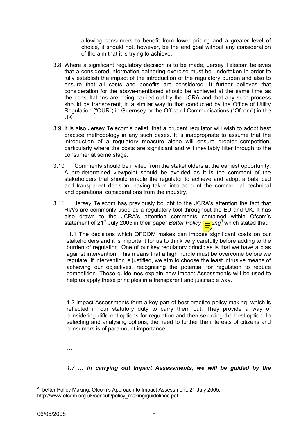allowing consumers to benefit from lower pricing and a greater level of choice, it should not, however, be the end goal without any consideration of the aim that it is trying to achieve.

- 3.8 Where a significant regulatory decision is to be made, Jersey Telecom believes that a considered information gathering exercise must be undertaken in order to fully establish the impact of the introduction of the regulatory burden and also to ensure that all costs and benefits are considered. It further believes that consideration for the above-mentioned should be achieved at the same time as the consultations are being carried out by the JCRA and that any such process should be transparent, in a similar way to that conducted by the Office of Utility Regulation ("OUR") in Guernsey or the Office of Communications ("Ofcom") in the UK.
- 3.9 It is also Jersey Telecom's belief, that a prudent regulator will wish to adopt best practice methodology in any such cases. It is inappropriate to assume that the introduction of a regulatory measure alone will ensure greater competition, particularly where the costs are significant and will inevitably filter through to the consumer at some stage.
- 3.10 Comments should be invited from the stakeholders at the earliest opportunity. A pre-determined viewpoint should be avoided as it is the comment of the stakeholders that should enable the regulator to achieve and adopt a balanced and transparent decision, having taken into account the commercial, technical and operational considerations from the industry.
- 3.11 Jersey Telecom has previously bought to the JCRA's attention the fact that RIA's are commonly used as a regulatory tool throughout the EU and UK. It has also drawn to the JCRA's attention comments contained within Ofcom's statement of 21<sup>st</sup> July 2005 in their paper *Better Policy*  $\frac{1}{\sqrt{2}}$ *ing*<sup>[3](#page-18-0)</sup> which stated that:

"1.1 The decisions which OFCOM makes can impose significant costs on our stakeholders and it is important for us to think very carefully before adding to the burden of regulation. One of our key regulatory principles is that we have a bias against intervention. This means that a high hurdle must be overcome before we regulate. If intervention is justified, we aim to choose the least intrusive means of achieving our objectives, recognising the potential for regulation to reduce competition. These guidelines explain how Impact Assessments will be used to help us apply these principles in a transparent and justifiable way.

1.2 Impact Assessments form a key part of best practice policy making, which is reflected in our statutory duty to carry them out. They provide a way of considering different options for regulation and then selecting the best option. In selecting and analysing options, the need to further the interests of citizens and consumers is of paramount importance.

*…* 

*1.7 … in carrying out Impact Assessments, we will be guided by the*

<span id="page-18-0"></span> <sup>3</sup> "better Policy Making, Ofcom's Approach to Impact Assessment, 21 July 2005, http://www.ofcom.org.uk/consult/policy\_making/guidelines.pdf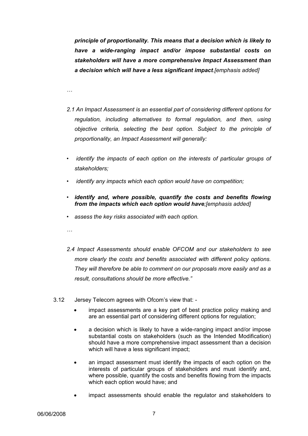*principle of proportionality. This means that a decision which is likely to have a wide-ranging impact and/or impose substantial costs on stakeholders will have a more comprehensive Impact Assessment than a decision which will have a less significant impact.[emphasis added]* 

*…* 

- *2.1 An Impact Assessment is an essential part of considering different options for regulation, including alternatives to formal regulation, and then, using objective criteria, selecting the best option. Subject to the principle of proportionality, an Impact Assessment will generally:*
- *identify the impacts of each option on the interests of particular groups of stakeholders;*
- *identify any impacts which each option would have on competition;*
- *identify and, where possible, quantify the costs and benefits flowing from the impacts which each option would have;[emphasis added]*
- *assess the key risks associated with each option.*
- *…*
- *2.4 Impact Assessments should enable OFCOM and our stakeholders to see more clearly the costs and benefits associated with different policy options. They will therefore be able to comment on our proposals more easily and as a result, consultations should be more effective."*
- 3.12 Jersey Telecom agrees with Ofcom's view that:
	- impact assessments are a key part of best practice policy making and are an essential part of considering different options for regulation;
	- a decision which is likely to have a wide-ranging impact and/or impose substantial costs on stakeholders (such as the Intended Modification) should have a more comprehensive impact assessment than a decision which will have a less significant impact;
	- an impact assessment must identify the impacts of each option on the interests of particular groups of stakeholders and must identify and, where possible, quantify the costs and benefits flowing from the impacts which each option would have; and
	- impact assessments should enable the regulator and stakeholders to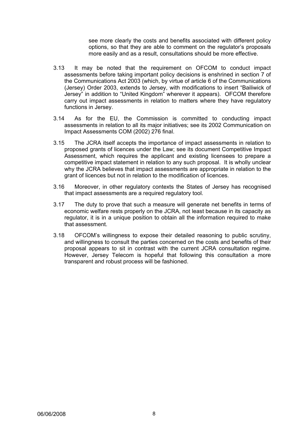see more clearly the costs and benefits associated with different policy options, so that they are able to comment on the regulator's proposals more easily and as a result, consultations should be more effective.

- 3.13 It may be noted that the requirement on OFCOM to conduct impact assessments before taking important policy decisions is enshrined in section 7 of the Communications Act 2003 (which, by virtue of article 6 of the Communications (Jersey) Order 2003, extends to Jersey, with modifications to insert "Bailiwick of Jersey" in addition to "United Kingdom" wherever it appears). OFCOM therefore carry out impact assessments in relation to matters where they have regulatory functions in Jersey.
- 3.14 As for the EU, the Commission is committed to conducting impact assessments in relation to all its major initiatives; see its 2002 Communication on Impact Assessments COM (2002) 276 final.
- 3.15 The JCRA itself accepts the importance of impact assessments in relation to proposed grants of licences under the Law; see its document Competitive Impact Assessment, which requires the applicant and existing licensees to prepare a competitive impact statement in relation to any such proposal. It is wholly unclear why the JCRA believes that impact assessments are appropriate in relation to the grant of licences but not in relation to the modification of licences.
- 3.16 Moreover, in other regulatory contexts the States of Jersey has recognised that impact assessments are a required regulatory tool.
- 3.17 The duty to prove that such a measure will generate net benefits in terms of economic welfare rests properly on the JCRA, not least because in its capacity as regulator, it is in a unique position to obtain all the information required to make that assessment.
- 3.18 OFCOM's willingness to expose their detailed reasoning to public scrutiny, and willingness to consult the parties concerned on the costs and benefits of their proposal appears to sit in contrast with the current JCRA consultation regime. However, Jersey Telecom is hopeful that following this consultation a more transparent and robust process will be fashioned.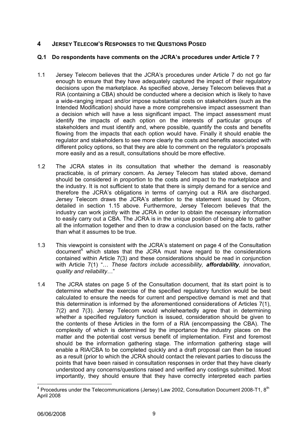# **4 JERSEY TELECOM'S RESPONSES TO THE QUESTIONS POSED**

# **Q.1 Do respondents have comments on the JCRA's procedures under Article 7 ?**

- 1.1 Jersey Telecom believes that the JCRA's procedures under Article 7 do not go far enough to ensure that they have adequately captured the impact of their regulatory decisions upon the marketplace. As specified above, Jersey Telecom believes that a RIA (containing a CBA) should be conducted where a decision which is likely to have a wide-ranging impact and/or impose substantial costs on stakeholders (such as the Intended Modification) should have a more comprehensive impact assessment than a decision which will have a less significant impact. The impact assessment must identify the impacts of each option on the interests of particular groups of stakeholders and must identify and, where possible, quantify the costs and benefits flowing from the impacts that each option would have. Finally it should enable the regulator and stakeholders to see more clearly the costs and benefits associated with different policy options, so that they are able to comment on the regulator's proposals more easily and as a result, consultations should be more effective.
- 1.2 The JCRA states in its consultation that whether the demand is reasonably practicable, is of primary concern. As Jersey Telecom has stated above, demand should be considered in proportion to the costs and impact to the marketplace and the industry. It is not sufficient to state that there is simply demand for a service and therefore the JCRA's obligations in terms of carrying out a RIA are discharged. Jersey Telecom draws the JCRA's attention to the statement issued by Ofcom, detailed in section 1.15 above. Furthermore, Jersey Telecom believes that the industry can work jointly with the JCRA in order to obtain the necessary information to easily carry out a CBA. The JCRA is in the unique position of being able to gather all the information together and then to draw a conclusion based on the facts, rather than what it assumes to be true.
- 1.3 This viewpoint is consistent with the JCRA's statement on page 4 of the Consultation document<sup>[4](#page-21-0)</sup> which states that the JCRA must have regard to the considerations contained within Article 7(3) and these considerations should be read in conjunction with Article 7(1) "… *These factors include accessibility, affordability, innovation, quality and reliability*…"
- 1.4 The JCRA states on page 5 of the Consultation document, that its start point is to determine whether the exercise of the specified regulatory function would be best calculated to ensure the needs for current and perspective demand is met and that this determination is informed by the aforementioned considerations of Articles 7(1), 7(2) and 7(3). Jersey Telecom would wholeheartedly agree that in determining whether a specified regulatory function is issued, consideration should be given to the contents of these Articles in the form of a RIA (encompassing the CBA). The complexity of which is determined by the importance the industry places on the matter and the potential cost versus benefit of implementation. First and foremost should be the information gathering stage. The information gathering stage will enable a RIA/CBA to be completed quickly and a draft proposal can then be issued as a result (prior to which the JCRA should contact the relevant parties to discuss the points that have been raised in consultation responses in order that they have clearly understood any concerns/questions raised and verified any costings submitted. Most importantly, they should ensure that they have correctly interpreted each parties

<span id="page-21-0"></span><sup>————————————————————&</sup>lt;br><sup>4</sup> Procedures under the Telecommunications (Jersey) Law 2002, Consultation Document 2008-T1, 8<sup>th</sup> April 2008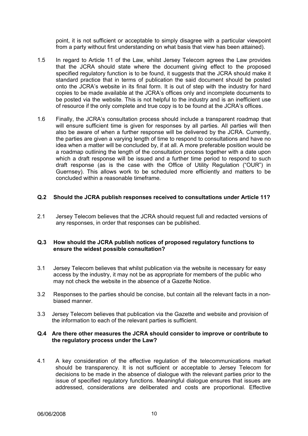point, it is not sufficient or acceptable to simply disagree with a particular viewpoint from a party without first understanding on what basis that view has been attained).

- 1.5 In regard to Article 11 of the Law, whilst Jersey Telecom agrees the Law provides that the JCRA should state where the document giving effect to the proposed specified regulatory function is to be found, it suggests that the JCRA should make it standard practice that in terms of publication the said document should be posted onto the JCRA's website in its final form. It is out of step with the industry for hard copies to be made available at the JCRA's offices only and incomplete documents to be posted via the website. This is not helpful to the industry and is an inefficient use of resource if the only complete and true copy is to be found at the JCRA's offices.
- 1.6 Finally, the JCRA's consultation process should include a transparent roadmap that will ensure sufficient time is given for responses by all parties. All parties will then also be aware of when a further response will be delivered by the JCRA. Currently, the parties are given a varying length of time to respond to consultations and have no idea when a matter will be concluded by, if at all. A more preferable position would be a roadmap outlining the length of the consultation process together with a date upon which a draft response will be issued and a further time period to respond to such draft response (as is the case with the Office of Utility Regulation ("OUR") in Guernsey). This allows work to be scheduled more efficiently and matters to be concluded within a reasonable timeframe.

## **Q.2 Should the JCRA publish responses received to consultations under Article 11?**

2.1 Jersey Telecom believes that the JCRA should request full and redacted versions of any responses, in order that responses can be published.

## **Q.3 How should the JCRA publish notices of proposed regulatory functions to ensure the widest possible consultation?**

- 3.1 Jersey Telecom believes that whilst publication via the website is necessary for easy access by the industry, it may not be as appropriate for members of the public who may not check the website in the absence of a Gazette Notice.
- 3.2 Responses to the parties should be concise, but contain all the relevant facts in a nonbiased manner.
- 3.3 Jersey Telecom believes that publication via the Gazette and website and provision of the information to each of the relevant parties is sufficient.

#### **Q.4 Are there other measures the JCRA should consider to improve or contribute to the regulatory process under the Law?**

4.1 A key consideration of the effective regulation of the telecommunications market should be transparency. It is not sufficient or acceptable to Jersey Telecom for decisions to be made in the absence of dialogue with the relevant parties prior to the issue of specified regulatory functions. Meaningful dialogue ensures that issues are addressed, considerations are deliberated and costs are proportional. Effective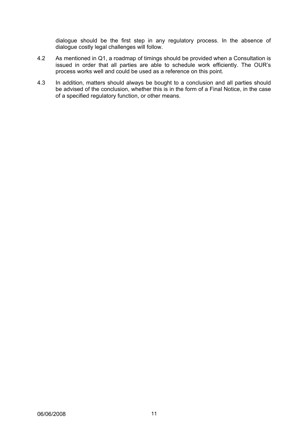dialogue should be the first step in any regulatory process. In the absence of dialogue costly legal challenges will follow.

- 4.2 As mentioned in Q1, a roadmap of timings should be provided when a Consultation is issued in order that all parties are able to schedule work efficiently. The OUR's process works well and could be used as a reference on this point.
- 4.3 In addition, matters should always be bought to a conclusion and all parties should be advised of the conclusion, whether this is in the form of a Final Notice, in the case of a specified regulatory function, or other means.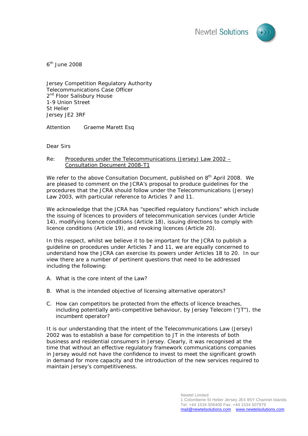



 $6<sup>th</sup>$  June 2008

Jersey Competition Regulatory Authority Telecommunications Case Officer 2<sup>nd</sup> Floor Salisbury House 1-9 Union Street St Helier Jersey JE2 3RF

Attention Graeme Marett Esq

Dear Sirs

#### Re: Procedures under the Telecommunications (Jersey) Law 2002 – Consultation Document 2008-T1

We refer to the above Consultation Document, published on 8<sup>th</sup> April 2008. We are pleased to comment on the JCRA's proposal to produce guidelines for the procedures that the JCRA should follow under the Telecommunications (Jersey) Law 2003, with particular reference to Articles 7 and 11.

We acknowledge that the JCRA has "specified regulatory functions" which include the issuing of licences to providers of telecommunication services (under Article 14), modifying licence conditions (Article 18), issuing directions to comply with licence conditions (Article 19), and revoking licences (Article 20).

In this respect, whilst we believe it to be important for the JCRA to publish a guideline on procedures under Articles 7 and 11, we are equally concerned to understand how the JCRA can exercise its powers under Articles 18 to 20. In our view there are a number of pertinent questions that need to be addressed including the following:

- A. What is the core intent of the Law?
- B. What is the intended objective of licensing alternative operators?
- C. How can competitors be protected from the effects of licence breaches, including potentially anti-competitive behaviour, by Jersey Telecom ("JT"), the incumbent operator?

It is our understanding that the intent of the Telecommunications Law (Jersey) 2002 was to establish a base for competition to JT in the interests of both business and residential consumers in Jersey. Clearly, it was recognised at the time that without an effective regulatory framework communications companies in Jersey would not have the confidence to invest to meet the significant growth in demand for more capacity and the introduction of the new services required to maintain Jersey's competitiveness.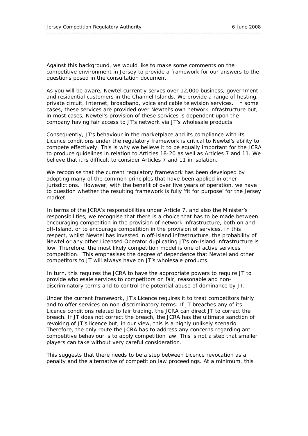Against this background, we would like to make some comments on the competitive environment in Jersey to provide a framework for our answers to the questions posed in the consultation document.

As you will be aware, Newtel currently serves over 12,000 business, government and residential customers in the Channel Islands. We provide a range of hosting, private circuit, Internet, broadband, voice and cable television services. In some cases, these services are provided over Newtel's own network infrastructure but, in most cases, Newtel's provision of these services is dependent upon the company having fair access to JT's network via JT's wholesale products.

Consequently, JT's behaviour in the marketplace and its compliance with its Licence conditions under the regulatory framework is critical to Newtel's ability to compete effectively. This is why we believe it to be equally important for the JCRA to produce guidelines in relation to Articles 18-20 as well as Articles 7 and 11. We believe that it is difficult to consider Articles 7 and 11 in isolation.

We recognise that the current regulatory framework has been developed by adopting many of the common principles that have been applied in other jurisdictions. However, with the benefit of over five years of operation, we have to question whether the resulting framework is fully 'fit for purpose' for the Jersey market.

In terms of the JCRA's responsibilities under Article 7, and also the Minister's responsibilities, we recognise that there is a choice that has to be made between encouraging competition in the provision of network infrastructure, both on and off-Island, or to encourage competition in the provision of services. In this respect, whilst Newtel has invested in off-island infrastructure, the probability of Newtel or any other Licensed Operator duplicating JT's on-Island infrastructure is low. Therefore, the most likely competition model is one of active services competition. This emphasises the degree of dependence that Newtel and other competitors to JT will always have on JT's wholesale products.

In turn, this requires the JCRA to have the appropriate powers to require JT to provide wholesale services to competitors on fair, reasonable and nondiscriminatory terms and to control the potential abuse of dominance by JT.

Under the current framework, JT's Licence requires it to treat competitors fairly and to offer services on non-discriminatory terms. If JT breaches any of its Licence conditions related to fair trading, the JCRA can direct JT to correct the breach. If JT does not correct the breach, the JCRA has the ultimate sanction of revoking of JT's licence but, in our view, this is a highly unlikely scenario. Therefore, the only route the JCRA has to address any concerns regarding anticompetitive behaviour is to apply competition law. This is not a step that smaller players can take without very careful consideration.

This suggests that there needs to be a step between Licence revocation as a penalty and the alternative of competition law proceedings. At a minimum, this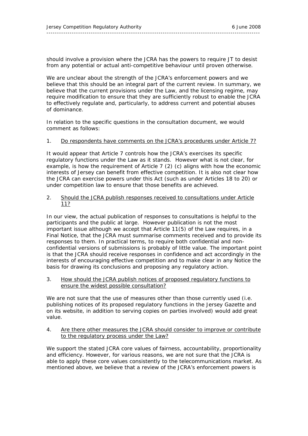should involve a provision where the JCRA has the powers to require JT to desist from any potential or actual anti-competitive behaviour until proven otherwise.

We are unclear about the strength of the JCRA's enforcement powers and we believe that this should be an integral part of the current review. In summary, we believe that the current provisions under the Law, and the licensing regime, may require modification to ensure that they are sufficiently robust to enable the JCRA to effectively regulate and, particularly, to address current and potential abuses of dominance.

In relation to the specific questions in the consultation document, we would comment as follows:

#### 1. Do respondents have comments on the JCRA's procedures under Article 7?

It would appear that Article 7 controls how the JCRA's exercises its specific regulatory functions under the Law as it stands. However what is not clear, for example, is how the requirement of Article 7 (2) (c) aligns with how the economic interests of Jersey can benefit from effective competition. It is also not clear how the JCRA can exercise powers under this Act (such as under Articles 18 to 20) or under competition law to ensure that those benefits are achieved.

#### 2. Should the JCRA publish responses received to consultations under Article 11?

In our view, the actual publication of responses to consultations is helpful to the participants and the public at large. However publication is not the most important issue although we accept that Article 11(5) of the Law requires, in a Final Notice, that the JCRA must summarise comments received and to provide its responses to them. In practical terms, to require both confidential and nonconfidential versions of submissions is probably of little value. The important point is that the JCRA should receive responses in confidence and act accordingly in the interests of encouraging effective competition and to make clear in any Notice the basis for drawing its conclusions and proposing any regulatory action.

#### 3. How should the JCRA publish notices of proposed regulatory functions to ensure the widest possible consultation?

We are not sure that the use of measures other than those currently used (i.e. publishing notices of its proposed regulatory functions in the Jersey Gazette and on its website, in addition to serving copies on parties involved) would add great value.

#### 4. Are there other measures the JCRA should consider to improve or contribute to the regulatory process under the Law?

We support the stated JCRA core values of fairness, accountability, proportionality and efficiency. However, for various reasons, we are not sure that the JCRA is able to apply these core values consistently to the telecommunications market. As mentioned above, we believe that a review of the JCRA's enforcement powers is